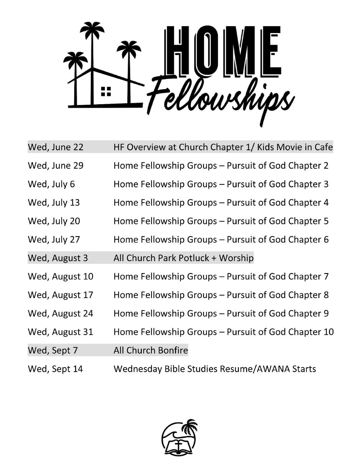

| Wed, June 22   | HF Overview at Church Chapter 1/ Kids Movie in Cafe |
|----------------|-----------------------------------------------------|
| Wed, June 29   | Home Fellowship Groups – Pursuit of God Chapter 2   |
| Wed, July 6    | Home Fellowship Groups – Pursuit of God Chapter 3   |
| Wed, July 13   | Home Fellowship Groups – Pursuit of God Chapter 4   |
| Wed, July 20   | Home Fellowship Groups – Pursuit of God Chapter 5   |
| Wed, July 27   | Home Fellowship Groups – Pursuit of God Chapter 6   |
| Wed, August 3  | All Church Park Potluck + Worship                   |
| Wed, August 10 | Home Fellowship Groups – Pursuit of God Chapter 7   |
| Wed, August 17 | Home Fellowship Groups – Pursuit of God Chapter 8   |
| Wed, August 24 | Home Fellowship Groups – Pursuit of God Chapter 9   |
| Wed, August 31 | Home Fellowship Groups – Pursuit of God Chapter 10  |
| Wed, Sept 7    | All Church Bonfire                                  |
| Wed, Sept 14   | Wednesday Bible Studies Resume/AWANA Starts         |

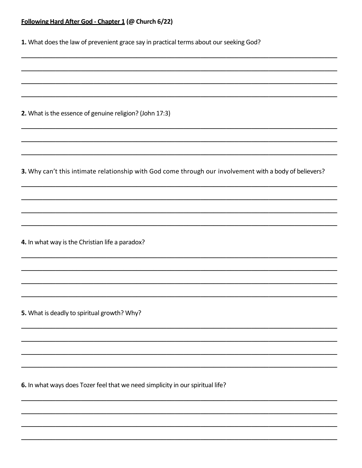# Following Hard After God - Chapter 1 (@ Church 6/22)

|  |  | 1. What does the law of prevenient grace say in practical terms about our seeking God? |  |  |  |  |
|--|--|----------------------------------------------------------------------------------------|--|--|--|--|
|--|--|----------------------------------------------------------------------------------------|--|--|--|--|

2. What is the essence of genuine religion? (John 17:3)

3. Why can't this intimate relationship with God come through our involvement with a body of believers?

4. In what way is the Christian life a paradox?

5. What is deadly to spiritual growth? Why?

6. In what ways does Tozer feel that we need simplicity in our spiritual life?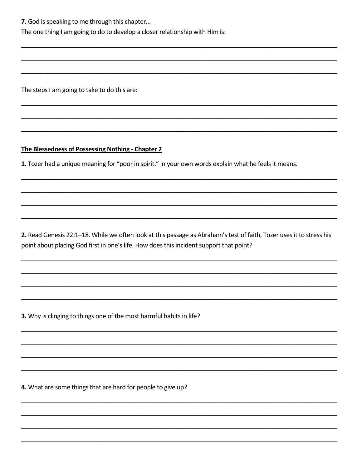The one thing I am going to do to develop a closer relationship with Him is:

The steps I am going to take to do this are:

### The Blessedness of Possessing Nothing - Chapter 2

1. Tozer had a unique meaning for "poor in spirit." In your own words explain what he feels it means.

2. Read Genesis 22:1-18. While we often look at this passage as Abraham's test of faith, Tozer uses it to stress his point about placing God first in one's life. How does this incident support that point?

3. Why is clinging to things one of the most harmful habits in life?

4. What are some things that are hard for people to give up?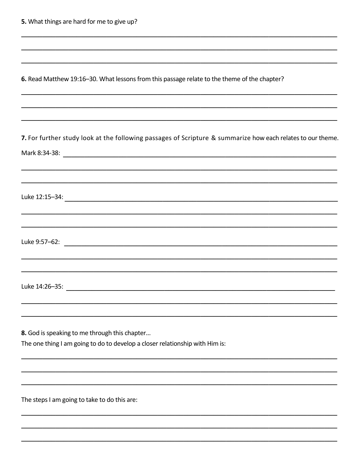|  | 5. What things are hard for me to give up? |  |  |  |  |
|--|--------------------------------------------|--|--|--|--|
|--|--------------------------------------------|--|--|--|--|

| 6. Read Matthew 19:16-30. What lessons from this passage relate to the theme of the chapter? |  |
|----------------------------------------------------------------------------------------------|--|
|----------------------------------------------------------------------------------------------|--|

7. For further study look at the following passages of Scripture & summarize how each relates to our theme. Mark 8:34-38: North States and States and States and States and States and States and States and States and St 8. God is speaking to me through this chapter... The one thing I am going to do to develop a closer relationship with Him is:

The steps I am going to take to do this are: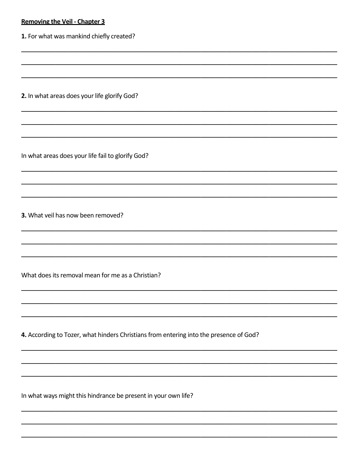# **Removing the Veil - Chapter 3**

1. For what was mankind chiefly created?

2. In what areas does your life glorify God?

In what areas does your life fail to glorify God?

3. What yeil has now been removed?

What does its removal mean for me as a Christian?

4. According to Tozer, what hinders Christians from entering into the presence of God?

In what ways might this hindrance be present in your own life?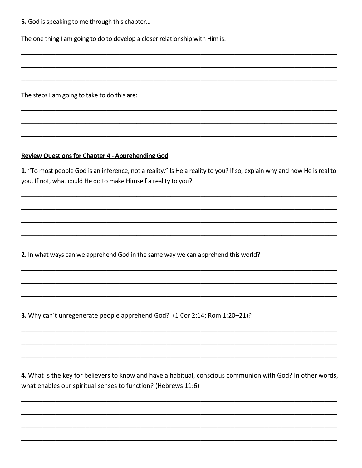The one thing I am going to do to develop a closer relationship with Him is:

The steps I am going to take to do this are:

### **Review Questions for Chapter 4 - Apprehending God**

1. "To most people God is an inference, not a reality." Is He a reality to you? If so, explain why and how He is real to you. If not, what could He do to make Himself a reality to you?

2. In what ways can we apprehend God in the same way we can apprehend this world?

3. Why can't unregenerate people apprehend God? (1 Cor 2:14; Rom 1:20-21)?

4. What is the key for believers to know and have a habitual, conscious communion with God? In other words, what enables our spiritual senses to function? (Hebrews 11:6)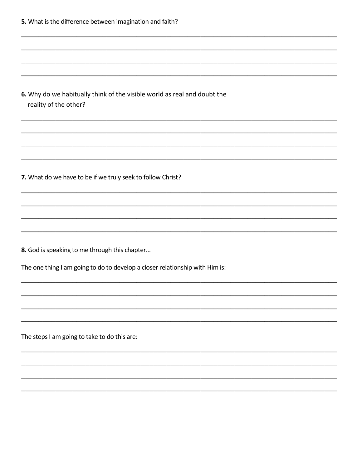| 5. What is the difference between imagination and faith?                                          |  |  |
|---------------------------------------------------------------------------------------------------|--|--|
|                                                                                                   |  |  |
|                                                                                                   |  |  |
| 6. Why do we habitually think of the visible world as real and doubt the<br>reality of the other? |  |  |
|                                                                                                   |  |  |
| 7. What do we have to be if we truly seek to follow Christ?                                       |  |  |
|                                                                                                   |  |  |
|                                                                                                   |  |  |
| 8. God is speaking to me through this chapter                                                     |  |  |
| The one thing I am going to do to develop a closer relationship with Him is:                      |  |  |
|                                                                                                   |  |  |
|                                                                                                   |  |  |
| The steps I am going to take to do this are:                                                      |  |  |
|                                                                                                   |  |  |
|                                                                                                   |  |  |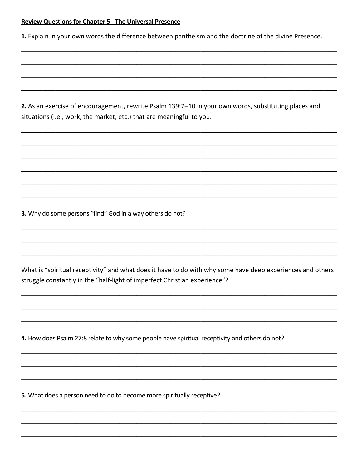#### **Review Questions for Chapter 5 - The Universal Presence**

1. Explain in your own words the difference between pantheism and the doctrine of the divine Presence.

2. As an exercise of encouragement, rewrite Psalm 139:7-10 in your own words, substituting places and situations (i.e., work, the market, etc.) that are meaningful to you.

3. Why do some persons "find" God in a way others do not?

What is "spiritual receptivity" and what does it have to do with why some have deep experiences and others struggle constantly in the "half-light of imperfect Christian experience"?

4. How does Psalm 27:8 relate to why some people have spiritual receptivity and others do not?

5. What does a person need to do to become more spiritually receptive?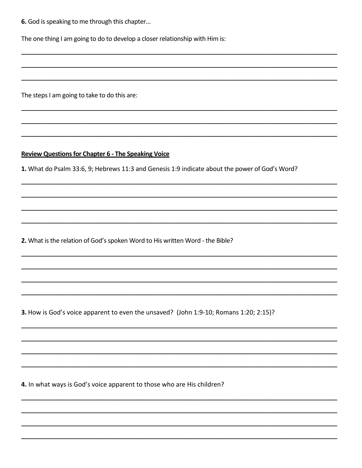The one thing I am going to do to develop a closer relationship with Him is:

The steps I am going to take to do this are:

## **Review Questions for Chapter 6 - The Speaking Voice**

1. What do Psalm 33:6, 9; Hebrews 11:3 and Genesis 1:9 indicate about the power of God's Word?

2. What is the relation of God's spoken Word to His written Word - the Bible?

3. How is God's voice apparent to even the unsaved? (John 1:9-10; Romans 1:20; 2:15)?

4. In what ways is God's voice apparent to those who are His children?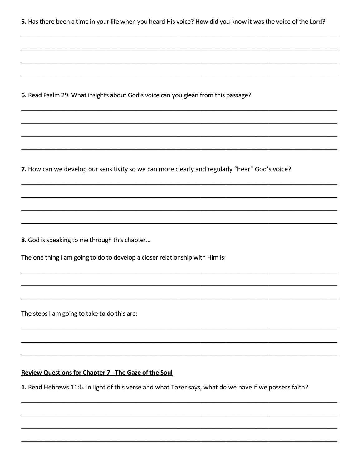5. Has there been a time in your life when you heard His voice? How did you know it was the voice of the Lord?

6. Read Psalm 29. What insights about God's voice can you glean from this passage?

7. How can we develop our sensitivity so we can more clearly and regularly "hear" God's voice?

8. God is speaking to me through this chapter...

The one thing I am going to do to develop a closer relationship with Him is:

The steps I am going to take to do this are:

### **Review Questions for Chapter 7 - The Gaze of the Soul**

1. Read Hebrews 11:6. In light of this verse and what Tozer says, what do we have if we possess faith?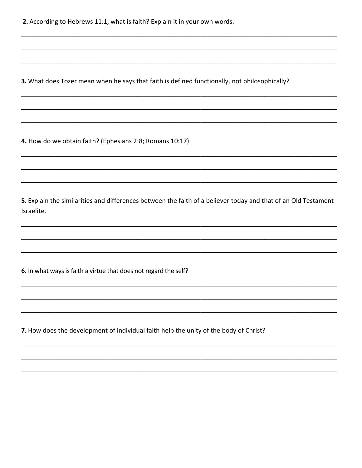2. According to Hebrews 11:1, what is faith? Explain it in your own words.

3. What does Tozer mean when he says that faith is defined functionally, not philosophically?

4. How do we obtain faith? (Ephesians 2:8; Romans 10:17)

5. Explain the similarities and differences between the faith of a believer today and that of an Old Testament Israelite.

6. In what ways is faith a virtue that does not regard the self?

7. How does the development of individual faith help the unity of the body of Christ?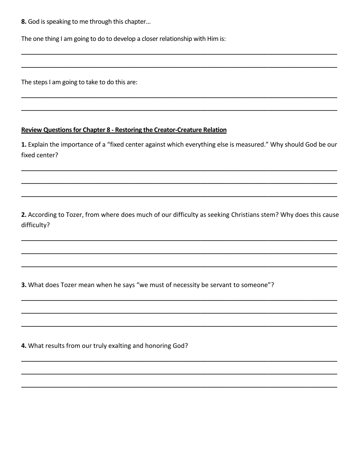The one thing I am going to do to develop a closer relationship with Him is:

The steps I am going to take to do this are:

### **Review Questions for Chapter 8 - Restoring the Creator-Creature Relation**

1. Explain the importance of a "fixed center against which everything else is measured." Why should God be our fixed center?

2. According to Tozer, from where does much of our difficulty as seeking Christians stem? Why does this cause difficulty?

3. What does Tozer mean when he says "we must of necessity be servant to someone"?

4. What results from our truly exalting and honoring God?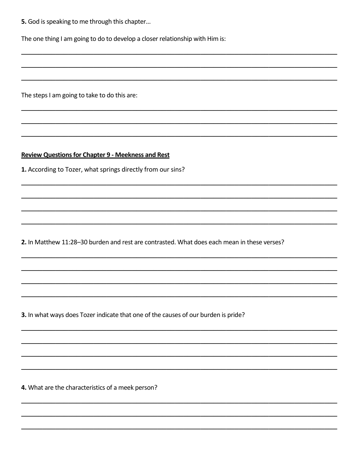The one thing I am going to do to develop a closer relationship with Him is:

The steps I am going to take to do this are:

**Review Questions for Chapter 9 - Meekness and Rest** 

1. According to Tozer, what springs directly from our sins?

2. In Matthew 11:28-30 burden and rest are contrasted. What does each mean in these verses?

3. In what ways does Tozer indicate that one of the causes of our burden is pride?

4. What are the characteristics of a meek person?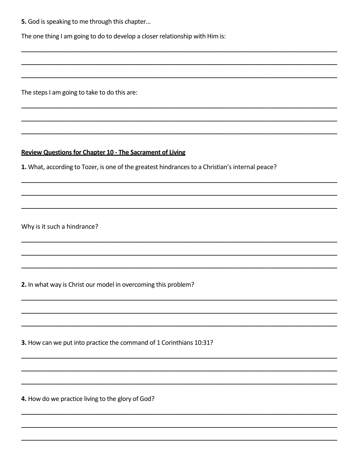The one thing I am going to do to develop a closer relationship with Him is:

The steps I am going to take to do this are:

## **Review Questions for Chapter 10 - The Sacrament of Living**

1. What, according to Tozer, is one of the greatest hindrances to a Christian's internal peace?

Why is it such a hindrance?

2. In what way is Christ our model in overcoming this problem?

3. How can we put into practice the command of 1 Corinthians 10:31?

4. How do we practice living to the glory of God?